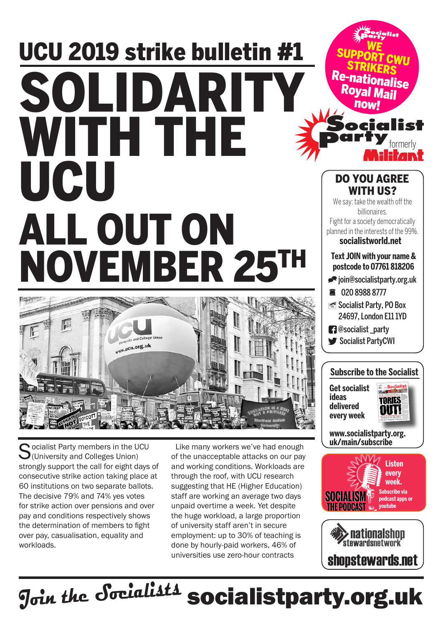## UCU 2019 strike bulletin #1 SOLIDARITY WITH THE UCU ALL OUT ON NOVEMBER 25TH



 $\bigcap$  ocialist Party members in the UCU  $\bigcup$ (University and Colleges Union) strongly support the call for eight days of consecutive strike action taking place at 60 institutions on two separate ballots. The decisive 79% and 74% yes votes for strike action over pensions and over pay and conditions respectively shows the determination of members to fight over pay, casualisation, equality and workloads.

Like many workers we've had enough of the unacceptable attacks on our pay and working conditions. Workloads are through the roof, with UCU research suggesting that HE (Higher Education) staff are working an average two days unpaid overtime a week. Yet despite the huge workload, a large proportion of university staff aren't in secure employment: up to 30% of teaching is done by hourly-paid workers, 46% of universities use zero-hour contracts

**Text JOIN with your name & postcode to 07761 818206**  $\blacktriangleright$ ioin@socialistparty.org.uk ■ 020 8988 8777 Socialist Party, PO Box 24697, London E11 1YD **@**socialist\_party Socialist PartyCWI DO YOU AGREE WITH US? We say: take the wealth off the billionaires. Fight for a society democratically planned in the interests of the 99%. **socialistworld.net**

formerly

ia list

WE<br>SUPPORT CWU<br>STRIKERS

Re-nationalise

Royal<br>now

## **Subscribe to the Socialist**

**Get socialist ideas delivered every week**



**www.socialistparty.org. uk/main/subscribe**





J<sub>oin the</sub> Socialists socialistparty.org.uk